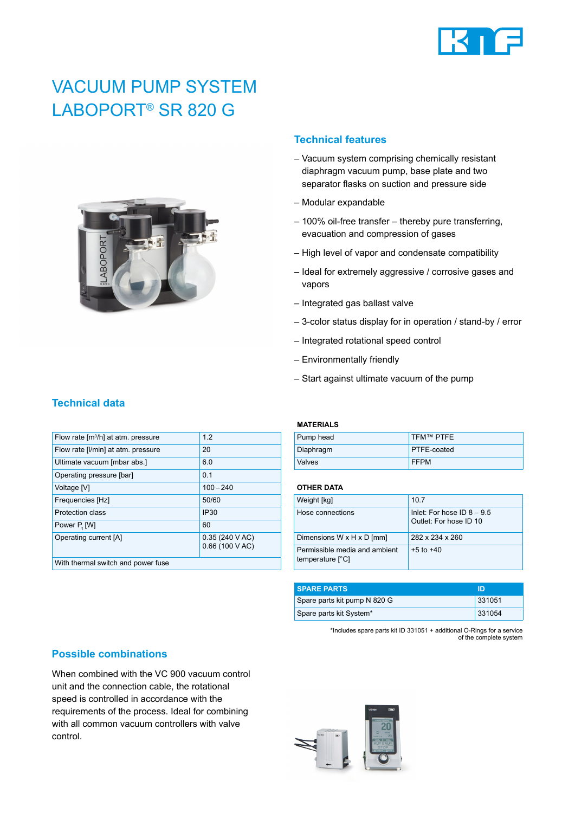

# VACUUM PUMP SYSTEM LABOPORT® SR 820 G



#### **Technical features**

- Vacuum system comprising chemically resistant diaphragm vacuum pump, base plate and two separator flasks on suction and pressure side
- Modular expandable
- 100% oil-free transfer thereby pure transferring, evacuation and compression of gases
- High level of vapor and condensate compatibility
- Ideal for extremely aggressive / corrosive gases and vapors
- Integrated gas ballast valve
- 3-color status display for in operation / stand-by / error
- Integrated rotational speed control
- Environmentally friendly
- Start against ultimate vacuum of the pump

| Flow rate $[m^3/h]$ at atm. pressure | 1.2                                         |  |
|--------------------------------------|---------------------------------------------|--|
| Flow rate [I/min] at atm. pressure   | 20                                          |  |
| Ultimate vacuum [mbar abs.]          | 60                                          |  |
| Operating pressure [bar]             | 0.1                                         |  |
| Voltage [V]                          | $100 - 240$                                 |  |
| Frequencies [Hz]                     | 50/60                                       |  |
| Protection class                     | <b>IP30</b>                                 |  |
| Power P. [W]                         | 60                                          |  |
| Operating current [A]                | $0.35(240 \text{ V AC})$<br>0.66 (100 V AC) |  |
| With thermal switch and power fuse   |                                             |  |
|                                      |                                             |  |

#### **MATERIALS**

| Pump head | TFM™ PTFE   |
|-----------|-------------|
| Diaphragm | PTFE-coated |
| Valves    | <b>FFPM</b> |

#### **OTHER DATA**

| Weight [kg]                                       | 107                                                    |
|---------------------------------------------------|--------------------------------------------------------|
| Hose connections                                  | Inlet: For hose ID $8 - 9.5$<br>Outlet: For hose ID 10 |
| Dimensions W x H x D [mm]                         | 282 x 234 x 260                                        |
| Permissible media and ambient<br>temperature [°C] | $+5$ to $+40$                                          |

| <b>SPARE PARTS</b>           | ID     |
|------------------------------|--------|
| Spare parts kit pump N 820 G | 331051 |
| Spare parts kit System*      | 331054 |

\*Includes spare parts kit ID 331051 + additional O-Rings for a service of the complete system

#### **Possible combinations**

When combined with the VC 900 vacuum control unit and the connection cable, the rotational speed is controlled in accordance with the requirements of the process. Ideal for combining with all common vacuum controllers with valve control.



## **Technical data**